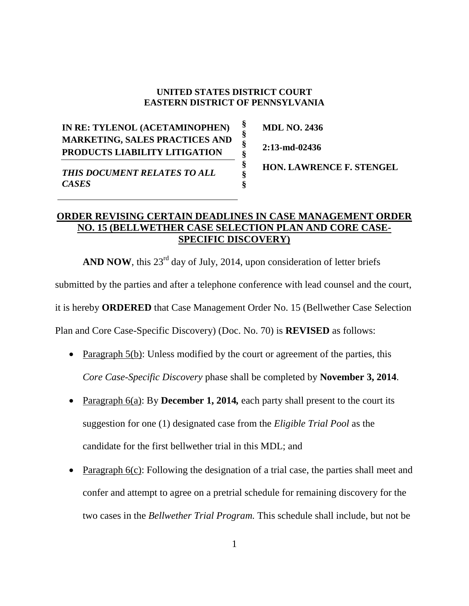## **UNITED STATES DISTRICT COURT EASTERN DISTRICT OF PENNSYLVANIA**

**§ § § § § § §**

**IN RE: TYLENOL (ACETAMINOPHEN) MARKETING, SALES PRACTICES AND PRODUCTS LIABILITY LITIGATION** *THIS DOCUMENT RELATES TO ALL CASES*

**HON. LAWRENCE F. STENGEL**

**MDL NO. 2436**

**2:13-md-02436**

## **ORDER REVISING CERTAIN DEADLINES IN CASE MANAGEMENT ORDER NO. 15 (BELLWETHER CASE SELECTION PLAN AND CORE CASE-SPECIFIC DISCOVERY)**

**AND NOW**, this  $23^{rd}$  day of July, 2014, upon consideration of letter briefs

submitted by the parties and after a telephone conference with lead counsel and the court,

it is hereby **ORDERED** that Case Management Order No. 15 (Bellwether Case Selection

Plan and Core Case-Specific Discovery) (Doc. No. 70) is **REVISED** as follows:

- Paragraph  $5(b)$ : Unless modified by the court or agreement of the parties, this *Core Case-Specific Discovery* phase shall be completed by **November 3, 2014**.
- Paragraph 6(a): By **December 1, 2014***,* each party shall present to the court its suggestion for one (1) designated case from the *Eligible Trial Pool* as the candidate for the first bellwether trial in this MDL; and
- Paragraph 6(c): Following the designation of a trial case, the parties shall meet and confer and attempt to agree on a pretrial schedule for remaining discovery for the two cases in the *Bellwether Trial Program.* This schedule shall include, but not be